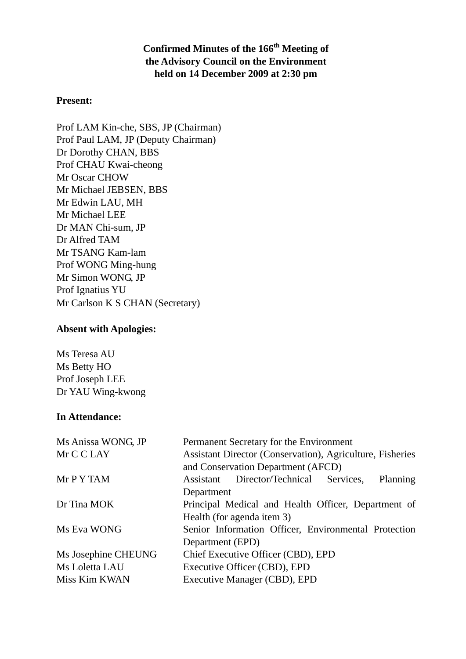**Confirmed Minutes of the 166th Meeting of the Advisory Council on the Environment held on 14 December 2009 at 2:30 pm** 

### **Present:**

Prof LAM Kin-che, SBS, JP (Chairman) Prof Paul LAM, JP (Deputy Chairman) Dr Dorothy CHAN, BBS Prof CHAU Kwai-cheong Mr Oscar CHOW Mr Michael JEBSEN, BBS Mr Edwin LAU, MH Mr Michael LEE Dr MAN Chi-sum, JP Dr Alfred TAM Mr TSANG Kam-lam Prof WONG Ming-hung Mr Simon WONG, JP Prof Ignatius YU Mr Carlson K S CHAN (Secretary)

## **Absent with Apologies:**

Ms Teresa AU Ms Betty HO Prof Joseph LEE Dr YAU Wing-kwong

## **In Attendance:**

| Ms Anissa WONG, JP  | Permanent Secretary for the Environment                   |  |  |  |  |
|---------------------|-----------------------------------------------------------|--|--|--|--|
| Mr C C LAY          | Assistant Director (Conservation), Agriculture, Fisheries |  |  |  |  |
|                     | and Conservation Department (AFCD)                        |  |  |  |  |
| Mr P Y TAM          | Assistant Director/Technical Services,<br>Planning        |  |  |  |  |
|                     | Department                                                |  |  |  |  |
| Dr Tina MOK         | Principal Medical and Health Officer, Department of       |  |  |  |  |
|                     | Health (for agenda item 3)                                |  |  |  |  |
| Ms Eva WONG         | Senior Information Officer, Environmental Protection      |  |  |  |  |
|                     | Department (EPD)                                          |  |  |  |  |
| Ms Josephine CHEUNG | Chief Executive Officer (CBD), EPD                        |  |  |  |  |
| Ms Loletta LAU      | Executive Officer (CBD), EPD                              |  |  |  |  |
| Miss Kim KWAN       | Executive Manager (CBD), EPD                              |  |  |  |  |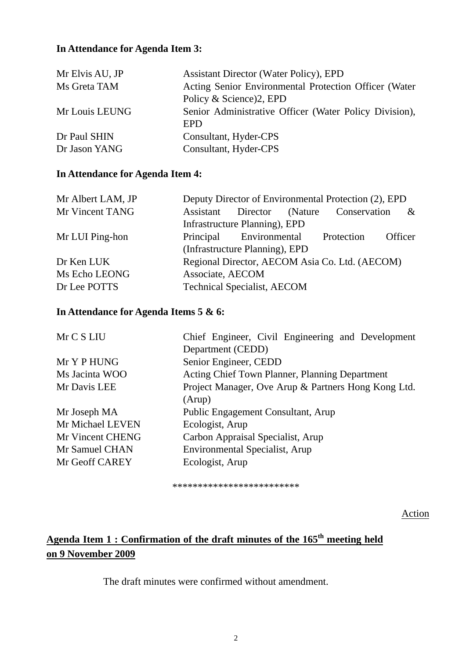# **In Attendance for Agenda Item 3:**

| Mr Elvis AU, JP | <b>Assistant Director (Water Policy), EPD</b>          |
|-----------------|--------------------------------------------------------|
| Ms Greta TAM    | Acting Senior Environmental Protection Officer (Water  |
|                 | Policy & Science)2, EPD                                |
| Mr Louis LEUNG  | Senior Administrative Officer (Water Policy Division), |
|                 | EPD                                                    |
| Dr Paul SHIN    | Consultant, Hyder-CPS                                  |
| Dr Jason YANG   | Consultant, Hyder-CPS                                  |

## **In Attendance for Agenda Item 4:**

| Mr Albert LAM, JP | Deputy Director of Environmental Protection (2), EPD |  |  |                                                |         |
|-------------------|------------------------------------------------------|--|--|------------------------------------------------|---------|
| Mr Vincent TANG   | Assistant                                            |  |  | Director (Nature Conservation                  | $\&$    |
|                   | Infrastructure Planning), EPD                        |  |  |                                                |         |
| Mr LUI Ping-hon   | Principal Environmental                              |  |  | Protection                                     | Officer |
|                   | (Infrastructure Planning), EPD                       |  |  |                                                |         |
| Dr Ken LUK        |                                                      |  |  | Regional Director, AECOM Asia Co. Ltd. (AECOM) |         |
| Ms Echo LEONG     | Associate, AECOM                                     |  |  |                                                |         |
| Dr Lee POTTS      | <b>Technical Specialist, AECOM</b>                   |  |  |                                                |         |

# **In Attendance for Agenda Items 5 & 6:**

| Chief Engineer, Civil Engineering and Development   |  |  |  |  |
|-----------------------------------------------------|--|--|--|--|
| Department (CEDD)                                   |  |  |  |  |
| Senior Engineer, CEDD                               |  |  |  |  |
| Acting Chief Town Planner, Planning Department      |  |  |  |  |
| Project Manager, Ove Arup & Partners Hong Kong Ltd. |  |  |  |  |
| (Arup)                                              |  |  |  |  |
| Public Engagement Consultant, Arup                  |  |  |  |  |
| Ecologist, Arup                                     |  |  |  |  |
| Carbon Appraisal Specialist, Arup                   |  |  |  |  |
| <b>Environmental Specialist, Arup</b>               |  |  |  |  |
| Ecologist, Arup                                     |  |  |  |  |
|                                                     |  |  |  |  |

\*\*\*\*\*\*\*\*\*\*\*\*\*\*\*\*\*\*\*\*\*\*\*\*\*

Action

# Agenda Item 1 : Confirmation of the draft minutes of the 165<sup>th</sup> meeting held **on 9 November 2009**

The draft minutes were confirmed without amendment.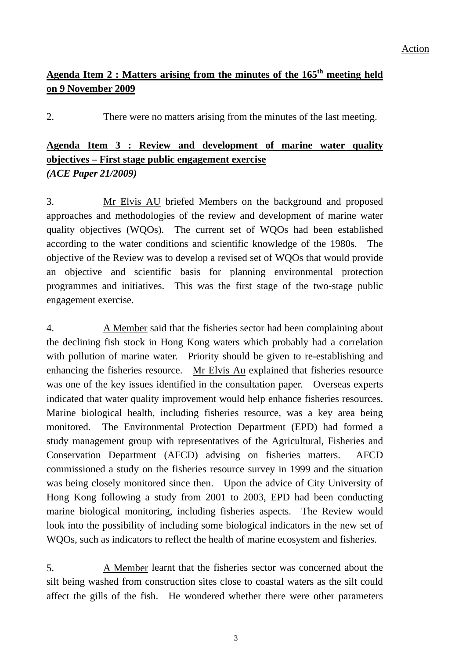# **Agenda Item 2 : Matters arising from the minutes of the 165th meeting held on 9 November 2009**

2. There were no matters arising from the minutes of the last meeting.

# Agenda Item 3 : Review and development of marine water quality **objectives – First stage public engagement exercise** *(ACE Paper 21/2009)*

3. Mr Elvis AU briefed Members on the background and proposed approaches and methodologies of the review and development of marine water quality objectives (WQOs). The current set of WQOs had been established according to the water conditions and scientific knowledge of the 1980s. The objective of the Review was to develop a revised set of WQOs that would provide an objective and scientific basis for planning environmental protection programmes and initiatives. This was the first stage of the two-stage public engagement exercise.

4. A Member said that the fisheries sector had been complaining about the declining fish stock in Hong Kong waters which probably had a correlation with pollution of marine water. Priority should be given to re-establishing and enhancing the fisheries resource. Mr Elvis Au explained that fisheries resource was one of the key issues identified in the consultation paper. Overseas experts indicated that water quality improvement would help enhance fisheries resources. Marine biological health, including fisheries resource, was a key area being monitored. The Environmental Protection Department (EPD) had formed a study management group with representatives of the Agricultural, Fisheries and Conservation Department (AFCD) advising on fisheries matters. AFCD commissioned a study on the fisheries resource survey in 1999 and the situation was being closely monitored since then. Upon the advice of City University of Hong Kong following a study from 2001 to 2003, EPD had been conducting marine biological monitoring, including fisheries aspects. The Review would look into the possibility of including some biological indicators in the new set of WQOs, such as indicators to reflect the health of marine ecosystem and fisheries.

5. A Member learnt that the fisheries sector was concerned about the silt being washed from construction sites close to coastal waters as the silt could affect the gills of the fish. He wondered whether there were other parameters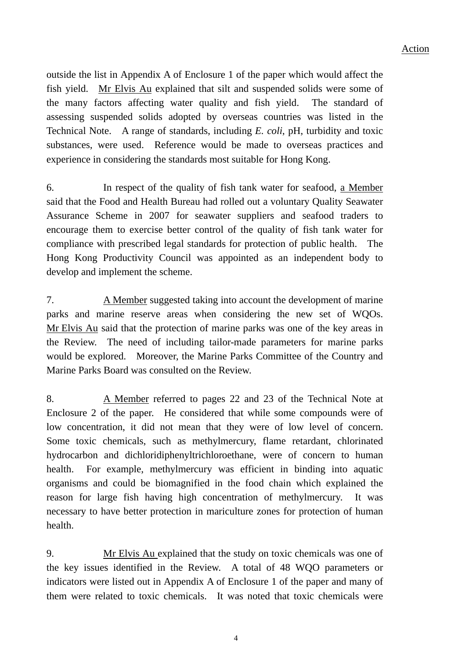outside the list in Appendix A of Enclosure 1 of the paper which would affect the fish yield. Mr Elvis Au explained that silt and suspended solids were some of the many factors affecting water quality and fish yield. The standard of assessing suspended solids adopted by overseas countries was listed in the Technical Note. A range of standards, including *E. coli*, pH, turbidity and toxic substances, were used. Reference would be made to overseas practices and experience in considering the standards most suitable for Hong Kong.

6. In respect of the quality of fish tank water for seafood, a Member said that the Food and Health Bureau had rolled out a voluntary Quality Seawater Assurance Scheme in 2007 for seawater suppliers and seafood traders to encourage them to exercise better control of the quality of fish tank water for compliance with prescribed legal standards for protection of public health. The Hong Kong Productivity Council was appointed as an independent body to develop and implement the scheme.

7. A Member suggested taking into account the development of marine parks and marine reserve areas when considering the new set of WQOs. Mr Elvis Au said that the protection of marine parks was one of the key areas in the Review. The need of including tailor-made parameters for marine parks would be explored. Moreover, the Marine Parks Committee of the Country and Marine Parks Board was consulted on the Review.

8. A Member referred to pages 22 and 23 of the Technical Note at Enclosure 2 of the paper. He considered that while some compounds were of low concentration, it did not mean that they were of low level of concern. Some toxic chemicals, such as methylmercury, flame retardant, chlorinated hydrocarbon and dichloridiphenyltrichloroethane, were of concern to human health. For example, methylmercury was efficient in binding into aquatic organisms and could be biomagnified in the food chain which explained the reason for large fish having high concentration of methylmercury. It was necessary to have better protection in mariculture zones for protection of human health.

9. Mr Elvis Au explained that the study on toxic chemicals was one of the key issues identified in the Review. A total of 48 WQO parameters or indicators were listed out in Appendix A of Enclosure 1 of the paper and many of them were related to toxic chemicals. It was noted that toxic chemicals were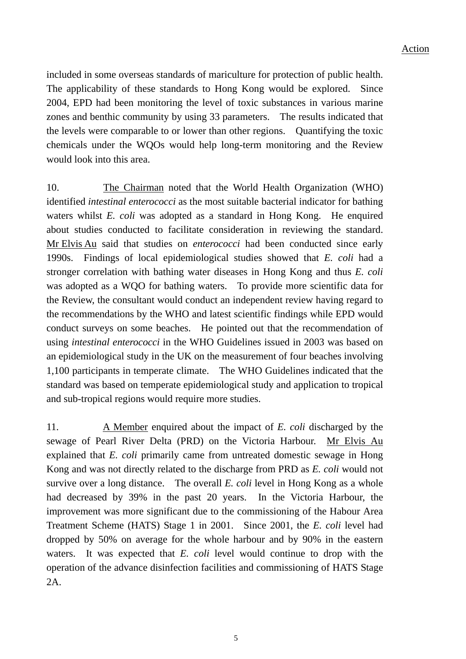#### Action

included in some overseas standards of mariculture for protection of public health. The applicability of these standards to Hong Kong would be explored. Since 2004, EPD had been monitoring the level of toxic substances in various marine zones and benthic community by using 33 parameters. The results indicated that the levels were comparable to or lower than other regions. Quantifying the toxic chemicals under the WQOs would help long-term monitoring and the Review would look into this area.

10. The Chairman noted that the World Health Organization (WHO) identified *intestinal enterococci* as the most suitable bacterial indicator for bathing waters whilst *E. coli* was adopted as a standard in Hong Kong. He enquired about studies conducted to facilitate consideration in reviewing the standard. Mr Elvis Au said that studies on *enterococci* had been conducted since early 1990s. Findings of local epidemiological studies showed that *E. coli* had a stronger correlation with bathing water diseases in Hong Kong and thus *E. coli* was adopted as a WQO for bathing waters. To provide more scientific data for the Review, the consultant would conduct an independent review having regard to the recommendations by the WHO and latest scientific findings while EPD would conduct surveys on some beaches. He pointed out that the recommendation of using *intestinal enterococci* in the WHO Guidelines issued in 2003 was based on an epidemiological study in the UK on the measurement of four beaches involving 1,100 participants in temperate climate. The WHO Guidelines indicated that the standard was based on temperate epidemiological study and application to tropical and sub-tropical regions would require more studies.

11. A Member enquired about the impact of *E. coli* discharged by the sewage of Pearl River Delta (PRD) on the Victoria Harbour. Mr Elvis Au explained that *E. coli* primarily came from untreated domestic sewage in Hong Kong and was not directly related to the discharge from PRD as *E. coli* would not survive over a long distance. The overall *E. coli* level in Hong Kong as a whole had decreased by 39% in the past 20 years. In the Victoria Harbour, the improvement was more significant due to the commissioning of the Habour Area Treatment Scheme (HATS) Stage 1 in 2001. Since 2001, the *E. coli* level had dropped by 50% on average for the whole harbour and by 90% in the eastern waters. It was expected that *E. coli* level would continue to drop with the operation of the advance disinfection facilities and commissioning of HATS Stage 2A.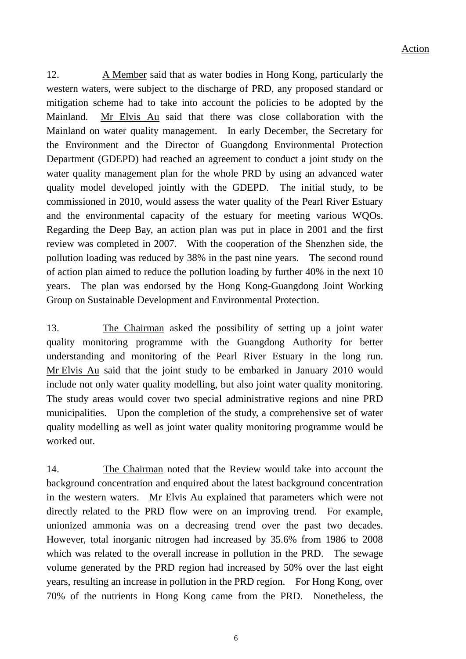12. A Member said that as water bodies in Hong Kong, particularly the western waters, were subject to the discharge of PRD, any proposed standard or mitigation scheme had to take into account the policies to be adopted by the Mainland. Mr Elvis Au said that there was close collaboration with the Mainland on water quality management. In early December, the Secretary for the Environment and the Director of Guangdong Environmental Protection Department (GDEPD) had reached an agreement to conduct a joint study on the water quality management plan for the whole PRD by using an advanced water quality model developed jointly with the GDEPD. The initial study, to be commissioned in 2010, would assess the water quality of the Pearl River Estuary and the environmental capacity of the estuary for meeting various WQOs. Regarding the Deep Bay, an action plan was put in place in 2001 and the first review was completed in 2007. With the cooperation of the Shenzhen side, the pollution loading was reduced by 38% in the past nine years. The second round of action plan aimed to reduce the pollution loading by further 40% in the next 10 years. The plan was endorsed by the Hong Kong-Guangdong Joint Working Group on Sustainable Development and Environmental Protection.

13. The Chairman asked the possibility of setting up a joint water quality monitoring programme with the Guangdong Authority for better understanding and monitoring of the Pearl River Estuary in the long run. Mr Elvis Au said that the joint study to be embarked in January 2010 would include not only water quality modelling, but also joint water quality monitoring. The study areas would cover two special administrative regions and nine PRD municipalities. Upon the completion of the study, a comprehensive set of water quality modelling as well as joint water quality monitoring programme would be worked out.

14. The Chairman noted that the Review would take into account the background concentration and enquired about the latest background concentration in the western waters. Mr Elvis Au explained that parameters which were not directly related to the PRD flow were on an improving trend. For example, unionized ammonia was on a decreasing trend over the past two decades. However, total inorganic nitrogen had increased by 35.6% from 1986 to 2008 which was related to the overall increase in pollution in the PRD. The sewage volume generated by the PRD region had increased by 50% over the last eight years, resulting an increase in pollution in the PRD region. For Hong Kong, over 70% of the nutrients in Hong Kong came from the PRD. Nonetheless, the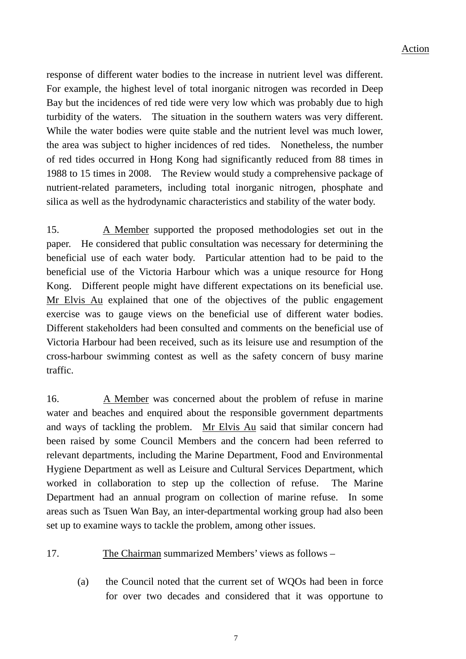response of different water bodies to the increase in nutrient level was different. For example, the highest level of total inorganic nitrogen was recorded in Deep Bay but the incidences of red tide were very low which was probably due to high turbidity of the waters. The situation in the southern waters was very different. While the water bodies were quite stable and the nutrient level was much lower, the area was subject to higher incidences of red tides. Nonetheless, the number of red tides occurred in Hong Kong had significantly reduced from 88 times in 1988 to 15 times in 2008. The Review would study a comprehensive package of nutrient-related parameters, including total inorganic nitrogen, phosphate and silica as well as the hydrodynamic characteristics and stability of the water body.

15. A Member supported the proposed methodologies set out in the paper. He considered that public consultation was necessary for determining the beneficial use of each water body. Particular attention had to be paid to the beneficial use of the Victoria Harbour which was a unique resource for Hong Kong. Different people might have different expectations on its beneficial use. Mr Elvis Au explained that one of the objectives of the public engagement exercise was to gauge views on the beneficial use of different water bodies. Different stakeholders had been consulted and comments on the beneficial use of Victoria Harbour had been received, such as its leisure use and resumption of the cross-harbour swimming contest as well as the safety concern of busy marine traffic.

16. A Member was concerned about the problem of refuse in marine water and beaches and enquired about the responsible government departments and ways of tackling the problem. Mr Elvis Au said that similar concern had been raised by some Council Members and the concern had been referred to relevant departments, including the Marine Department, Food and Environmental Hygiene Department as well as Leisure and Cultural Services Department, which worked in collaboration to step up the collection of refuse. The Marine Department had an annual program on collection of marine refuse. In some areas such as Tsuen Wan Bay, an inter-departmental working group had also been set up to examine ways to tackle the problem, among other issues.

#### 17. The Chairman summarized Members' views as follows –

(a) the Council noted that the current set of WQOs had been in force for over two decades and considered that it was opportune to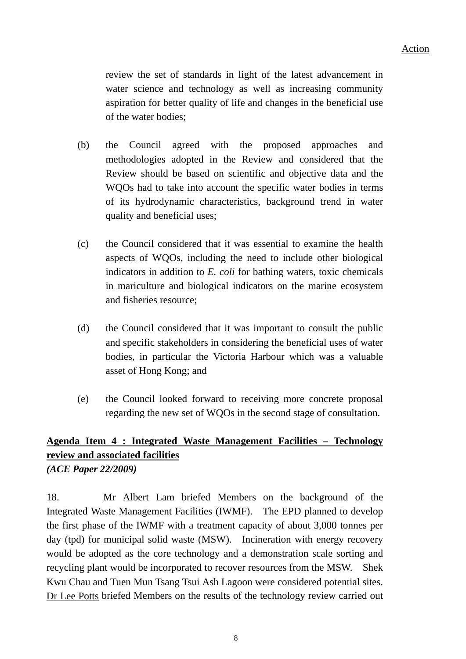review the set of standards in light of the latest advancement in water science and technology as well as increasing community aspiration for better quality of life and changes in the beneficial use of the water bodies;

- (b) the Council agreed with the proposed approaches and methodologies adopted in the Review and considered that the Review should be based on scientific and objective data and the WQOs had to take into account the specific water bodies in terms of its hydrodynamic characteristics, background trend in water quality and beneficial uses;
- (c) the Council considered that it was essential to examine the health aspects of WQOs, including the need to include other biological indicators in addition to *E. coli* for bathing waters, toxic chemicals in mariculture and biological indicators on the marine ecosystem and fisheries resource;
- (d) the Council considered that it was important to consult the public and specific stakeholders in considering the beneficial uses of water bodies, in particular the Victoria Harbour which was a valuable asset of Hong Kong; and
- (e) the Council looked forward to receiving more concrete proposal regarding the new set of WQOs in the second stage of consultation.

# **Agenda Item 4 : Integrated Waste Management Facilities – Technology review and associated facilities**

*(ACE Paper 22/2009)* 

18. Mr Albert Lam briefed Members on the background of the Integrated Waste Management Facilities (IWMF). The EPD planned to develop the first phase of the IWMF with a treatment capacity of about 3,000 tonnes per day (tpd) for municipal solid waste (MSW). Incineration with energy recovery would be adopted as the core technology and a demonstration scale sorting and recycling plant would be incorporated to recover resources from the MSW. Shek Kwu Chau and Tuen Mun Tsang Tsui Ash Lagoon were considered potential sites. Dr Lee Potts briefed Members on the results of the technology review carried out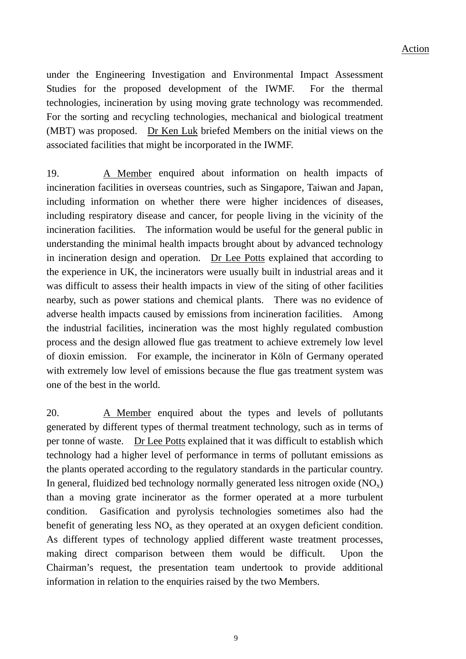under the Engineering Investigation and Environmental Impact Assessment Studies for the proposed development of the IWMF. For the thermal technologies, incineration by using moving grate technology was recommended. For the sorting and recycling technologies, mechanical and biological treatment (MBT) was proposed. Dr Ken Luk briefed Members on the initial views on the associated facilities that might be incorporated in the IWMF.

19. A Member enquired about information on health impacts of incineration facilities in overseas countries, such as Singapore, Taiwan and Japan, including information on whether there were higher incidences of diseases, including respiratory disease and cancer, for people living in the vicinity of the incineration facilities. The information would be useful for the general public in understanding the minimal health impacts brought about by advanced technology in incineration design and operation. Dr Lee Potts explained that according to the experience in UK, the incinerators were usually built in industrial areas and it was difficult to assess their health impacts in view of the siting of other facilities nearby, such as power stations and chemical plants. There was no evidence of adverse health impacts caused by emissions from incineration facilities. Among the industrial facilities, incineration was the most highly regulated combustion process and the design allowed flue gas treatment to achieve extremely low level of dioxin emission. For example, the incinerator in Köln of Germany operated with extremely low level of emissions because the flue gas treatment system was one of the best in the world.

20. A Member enquired about the types and levels of pollutants generated by different types of thermal treatment technology, such as in terms of per tonne of waste. Dr Lee Potts explained that it was difficult to establish which technology had a higher level of performance in terms of pollutant emissions as the plants operated according to the regulatory standards in the particular country. In general, fluidized bed technology normally generated less nitrogen oxide  $(NO_x)$ than a moving grate incinerator as the former operated at a more turbulent condition. Gasification and pyrolysis technologies sometimes also had the benefit of generating less  $NO<sub>x</sub>$  as they operated at an oxygen deficient condition. As different types of technology applied different waste treatment processes, making direct comparison between them would be difficult. Upon the Chairman's request, the presentation team undertook to provide additional information in relation to the enquiries raised by the two Members.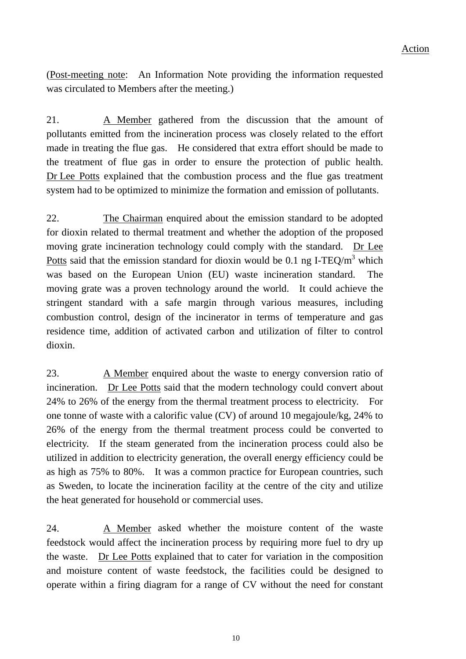(Post-meeting note: An Information Note providing the information requested was circulated to Members after the meeting.)

21. A Member gathered from the discussion that the amount of pollutants emitted from the incineration process was closely related to the effort made in treating the flue gas. He considered that extra effort should be made to the treatment of flue gas in order to ensure the protection of public health. Dr Lee Potts explained that the combustion process and the flue gas treatment system had to be optimized to minimize the formation and emission of pollutants.

22. The Chairman enquired about the emission standard to be adopted for dioxin related to thermal treatment and whether the adoption of the proposed moving grate incineration technology could comply with the standard. Dr Lee Potts said that the emission standard for dioxin would be 0.1 ng I-TEQ/m<sup>3</sup> which was based on the European Union (EU) waste incineration standard. The moving grate was a proven technology around the world. It could achieve the stringent standard with a safe margin through various measures, including combustion control, design of the incinerator in terms of temperature and gas residence time, addition of activated carbon and utilization of filter to control dioxin.

23. A Member enquired about the waste to energy conversion ratio of incineration. Dr Lee Potts said that the modern technology could convert about 24% to 26% of the energy from the thermal treatment process to electricity. For one tonne of waste with a calorific value (CV) of around 10 megajoule/kg, 24% to 26% of the energy from the thermal treatment process could be converted to electricity. If the steam generated from the incineration process could also be utilized in addition to electricity generation, the overall energy efficiency could be as high as 75% to 80%. It was a common practice for European countries, such as Sweden, to locate the incineration facility at the centre of the city and utilize the heat generated for household or commercial uses.

24. A Member asked whether the moisture content of the waste feedstock would affect the incineration process by requiring more fuel to dry up the waste. Dr Lee Potts explained that to cater for variation in the composition and moisture content of waste feedstock, the facilities could be designed to operate within a firing diagram for a range of CV without the need for constant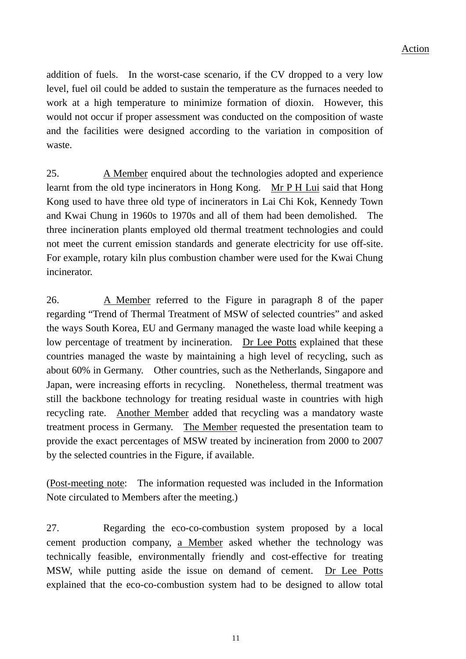addition of fuels. In the worst-case scenario, if the CV dropped to a very low level, fuel oil could be added to sustain the temperature as the furnaces needed to work at a high temperature to minimize formation of dioxin. However, this would not occur if proper assessment was conducted on the composition of waste and the facilities were designed according to the variation in composition of waste.

25. A Member enquired about the technologies adopted and experience learnt from the old type incinerators in Hong Kong. Mr P H Lui said that Hong Kong used to have three old type of incinerators in Lai Chi Kok, Kennedy Town and Kwai Chung in 1960s to 1970s and all of them had been demolished. The three incineration plants employed old thermal treatment technologies and could not meet the current emission standards and generate electricity for use off-site. For example, rotary kiln plus combustion chamber were used for the Kwai Chung incinerator.

26. A Member referred to the Figure in paragraph 8 of the paper regarding "Trend of Thermal Treatment of MSW of selected countries" and asked the ways South Korea, EU and Germany managed the waste load while keeping a low percentage of treatment by incineration. Dr Lee Potts explained that these countries managed the waste by maintaining a high level of recycling, such as about 60% in Germany. Other countries, such as the Netherlands, Singapore and Japan, were increasing efforts in recycling. Nonetheless, thermal treatment was still the backbone technology for treating residual waste in countries with high recycling rate. Another Member added that recycling was a mandatory waste treatment process in Germany. The Member requested the presentation team to provide the exact percentages of MSW treated by incineration from 2000 to 2007 by the selected countries in the Figure, if available.

(Post-meeting note: The information requested was included in the Information Note circulated to Members after the meeting.)

27. Regarding the eco-co-combustion system proposed by a local cement production company, a Member asked whether the technology was technically feasible, environmentally friendly and cost-effective for treating MSW, while putting aside the issue on demand of cement. Dr Lee Potts explained that the eco-co-combustion system had to be designed to allow total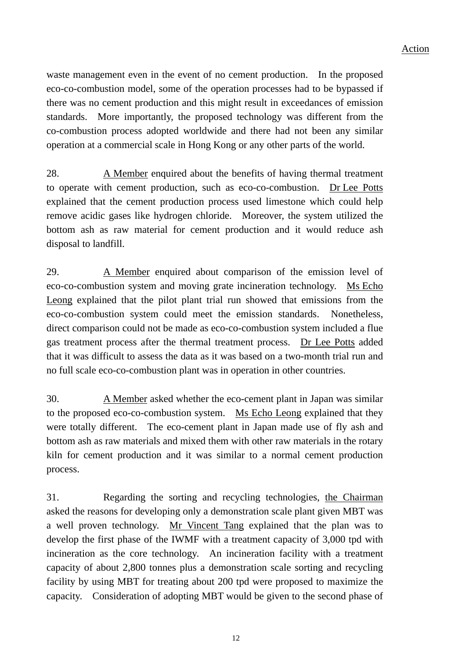waste management even in the event of no cement production. In the proposed eco-co-combustion model, some of the operation processes had to be bypassed if there was no cement production and this might result in exceedances of emission standards. More importantly, the proposed technology was different from the co-combustion process adopted worldwide and there had not been any similar operation at a commercial scale in Hong Kong or any other parts of the world.

28. A Member enquired about the benefits of having thermal treatment to operate with cement production, such as eco-co-combustion. Dr Lee Potts explained that the cement production process used limestone which could help remove acidic gases like hydrogen chloride. Moreover, the system utilized the bottom ash as raw material for cement production and it would reduce ash disposal to landfill.

29. A Member enquired about comparison of the emission level of eco-co-combustion system and moving grate incineration technology. Ms Echo Leong explained that the pilot plant trial run showed that emissions from the eco-co-combustion system could meet the emission standards. Nonetheless, direct comparison could not be made as eco-co-combustion system included a flue gas treatment process after the thermal treatment process. Dr Lee Potts added that it was difficult to assess the data as it was based on a two-month trial run and no full scale eco-co-combustion plant was in operation in other countries.

30. A Member asked whether the eco-cement plant in Japan was similar to the proposed eco-co-combustion system. Ms Echo Leong explained that they were totally different. The eco-cement plant in Japan made use of fly ash and bottom ash as raw materials and mixed them with other raw materials in the rotary kiln for cement production and it was similar to a normal cement production process.

31. Regarding the sorting and recycling technologies, the Chairman asked the reasons for developing only a demonstration scale plant given MBT was a well proven technology. Mr Vincent Tang explained that the plan was to develop the first phase of the IWMF with a treatment capacity of 3,000 tpd with incineration as the core technology. An incineration facility with a treatment capacity of about 2,800 tonnes plus a demonstration scale sorting and recycling facility by using MBT for treating about 200 tpd were proposed to maximize the capacity. Consideration of adopting MBT would be given to the second phase of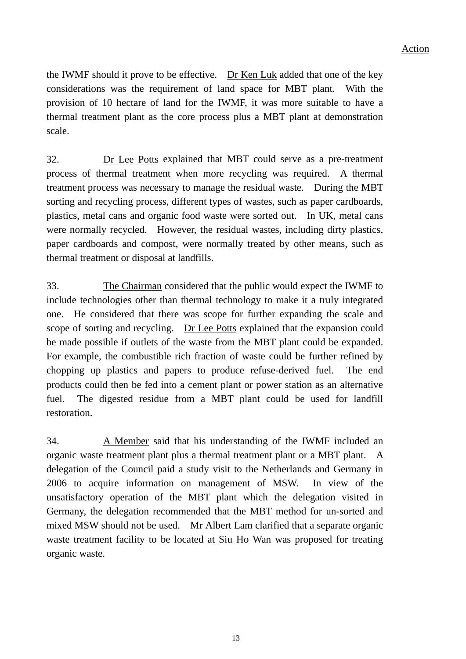the IWMF should it prove to be effective. Dr Ken Luk added that one of the key considerations was the requirement of land space for MBT plant. With the provision of 10 hectare of land for the IWMF, it was more suitable to have a thermal treatment plant as the core process plus a MBT plant at demonstration scale.

32. Dr Lee Potts explained that MBT could serve as a pre-treatment process of thermal treatment when more recycling was required. A thermal treatment process was necessary to manage the residual waste. During the MBT sorting and recycling process, different types of wastes, such as paper cardboards, plastics, metal cans and organic food waste were sorted out. In UK, metal cans were normally recycled. However, the residual wastes, including dirty plastics, paper cardboards and compost, were normally treated by other means, such as thermal treatment or disposal at landfills.

33. The Chairman considered that the public would expect the IWMF to include technologies other than thermal technology to make it a truly integrated one. He considered that there was scope for further expanding the scale and scope of sorting and recycling. Dr Lee Potts explained that the expansion could be made possible if outlets of the waste from the MBT plant could be expanded. For example, the combustible rich fraction of waste could be further refined by chopping up plastics and papers to produce refuse-derived fuel. The end products could then be fed into a cement plant or power station as an alternative fuel. The digested residue from a MBT plant could be used for landfill restoration.

34. A Member said that his understanding of the IWMF included an organic waste treatment plant plus a thermal treatment plant or a MBT plant. A delegation of the Council paid a study visit to the Netherlands and Germany in 2006 to acquire information on management of MSW. In view of the unsatisfactory operation of the MBT plant which the delegation visited in Germany, the delegation recommended that the MBT method for un-sorted and mixed MSW should not be used. Mr Albert Lam clarified that a separate organic waste treatment facility to be located at Siu Ho Wan was proposed for treating organic waste.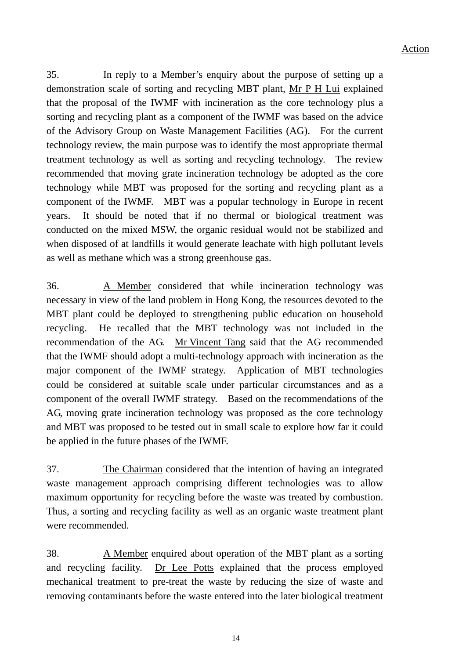35. In reply to a Member's enquiry about the purpose of setting up a demonstration scale of sorting and recycling MBT plant, Mr P H Lui explained that the proposal of the IWMF with incineration as the core technology plus a sorting and recycling plant as a component of the IWMF was based on the advice of the Advisory Group on Waste Management Facilities (AG). For the current technology review, the main purpose was to identify the most appropriate thermal treatment technology as well as sorting and recycling technology. The review recommended that moving grate incineration technology be adopted as the core technology while MBT was proposed for the sorting and recycling plant as a component of the IWMF. MBT was a popular technology in Europe in recent years. It should be noted that if no thermal or biological treatment was conducted on the mixed MSW, the organic residual would not be stabilized and when disposed of at landfills it would generate leachate with high pollutant levels as well as methane which was a strong greenhouse gas.

36. A Member considered that while incineration technology was necessary in view of the land problem in Hong Kong, the resources devoted to the MBT plant could be deployed to strengthening public education on household recycling. He recalled that the MBT technology was not included in the recommendation of the AG. Mr Vincent Tang said that the AG recommended that the IWMF should adopt a multi-technology approach with incineration as the major component of the IWMF strategy. Application of MBT technologies could be considered at suitable scale under particular circumstances and as a component of the overall IWMF strategy. Based on the recommendations of the AG, moving grate incineration technology was proposed as the core technology and MBT was proposed to be tested out in small scale to explore how far it could be applied in the future phases of the IWMF.

37. The Chairman considered that the intention of having an integrated waste management approach comprising different technologies was to allow maximum opportunity for recycling before the waste was treated by combustion. Thus, a sorting and recycling facility as well as an organic waste treatment plant were recommended.

38. A Member enquired about operation of the MBT plant as a sorting and recycling facility. Dr Lee Potts explained that the process employed mechanical treatment to pre-treat the waste by reducing the size of waste and removing contaminants before the waste entered into the later biological treatment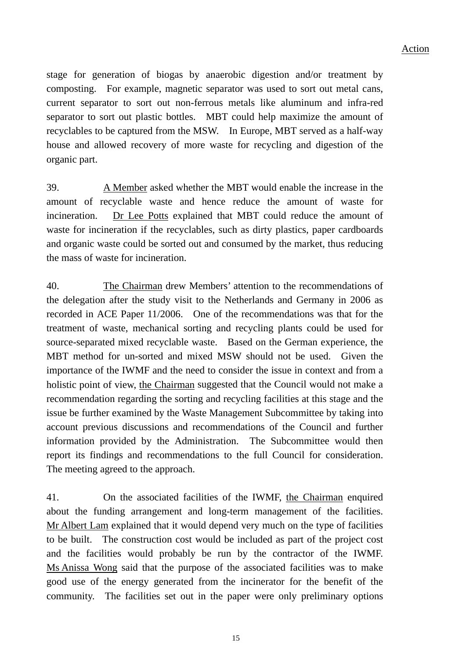stage for generation of biogas by anaerobic digestion and/or treatment by composting. For example, magnetic separator was used to sort out metal cans, current separator to sort out non-ferrous metals like aluminum and infra-red separator to sort out plastic bottles. MBT could help maximize the amount of recyclables to be captured from the MSW. In Europe, MBT served as a half-way house and allowed recovery of more waste for recycling and digestion of the organic part.

39. A Member asked whether the MBT would enable the increase in the amount of recyclable waste and hence reduce the amount of waste for incineration. Dr Lee Potts explained that MBT could reduce the amount of waste for incineration if the recyclables, such as dirty plastics, paper cardboards and organic waste could be sorted out and consumed by the market, thus reducing the mass of waste for incineration.

40. The Chairman drew Members' attention to the recommendations of the delegation after the study visit to the Netherlands and Germany in 2006 as recorded in ACE Paper 11/2006. One of the recommendations was that for the treatment of waste, mechanical sorting and recycling plants could be used for source-separated mixed recyclable waste. Based on the German experience, the MBT method for un-sorted and mixed MSW should not be used. Given the importance of the IWMF and the need to consider the issue in context and from a holistic point of view, the Chairman suggested that the Council would not make a recommendation regarding the sorting and recycling facilities at this stage and the issue be further examined by the Waste Management Subcommittee by taking into account previous discussions and recommendations of the Council and further information provided by the Administration. The Subcommittee would then report its findings and recommendations to the full Council for consideration. The meeting agreed to the approach.

41. On the associated facilities of the IWMF, the Chairman enquired about the funding arrangement and long-term management of the facilities. Mr Albert Lam explained that it would depend very much on the type of facilities to be built. The construction cost would be included as part of the project cost and the facilities would probably be run by the contractor of the IWMF. Ms Anissa Wong said that the purpose of the associated facilities was to make good use of the energy generated from the incinerator for the benefit of the community. The facilities set out in the paper were only preliminary options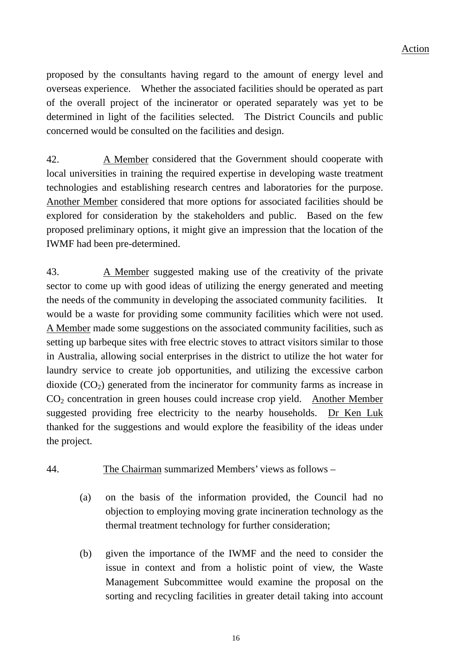proposed by the consultants having regard to the amount of energy level and overseas experience. Whether the associated facilities should be operated as part of the overall project of the incinerator or operated separately was yet to be determined in light of the facilities selected. The District Councils and public concerned would be consulted on the facilities and design.

42. A Member considered that the Government should cooperate with local universities in training the required expertise in developing waste treatment technologies and establishing research centres and laboratories for the purpose. Another Member considered that more options for associated facilities should be explored for consideration by the stakeholders and public. Based on the few proposed preliminary options, it might give an impression that the location of the IWMF had been pre-determined.

43. A Member suggested making use of the creativity of the private sector to come up with good ideas of utilizing the energy generated and meeting the needs of the community in developing the associated community facilities. It would be a waste for providing some community facilities which were not used. A Member made some suggestions on the associated community facilities, such as setting up barbeque sites with free electric stoves to attract visitors similar to those in Australia, allowing social enterprises in the district to utilize the hot water for laundry service to create job opportunities, and utilizing the excessive carbon dioxide  $(CO<sub>2</sub>)$  generated from the incinerator for community farms as increase in  $CO<sub>2</sub>$  concentration in green houses could increase crop yield. Another Member suggested providing free electricity to the nearby households. Dr Ken Luk thanked for the suggestions and would explore the feasibility of the ideas under the project.

- 44. The Chairman summarized Members' views as follows
	- (a) on the basis of the information provided, the Council had no objection to employing moving grate incineration technology as the thermal treatment technology for further consideration;
	- (b) given the importance of the IWMF and the need to consider the issue in context and from a holistic point of view, the Waste Management Subcommittee would examine the proposal on the sorting and recycling facilities in greater detail taking into account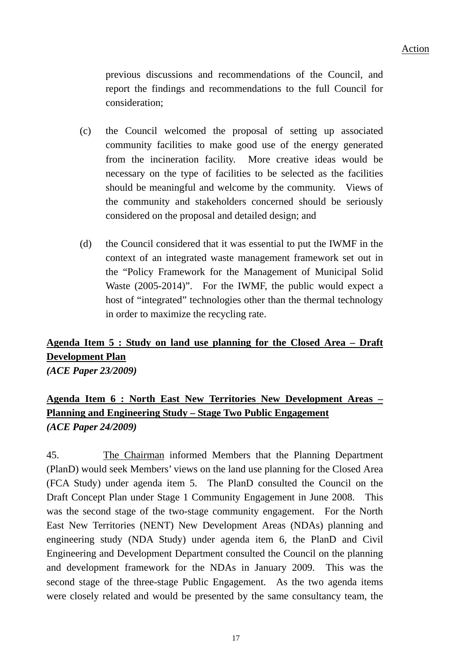previous discussions and recommendations of the Council, and report the findings and recommendations to the full Council for consideration;

- (c) the Council welcomed the proposal of setting up associated community facilities to make good use of the energy generated from the incineration facility. More creative ideas would be necessary on the type of facilities to be selected as the facilities should be meaningful and welcome by the community. Views of the community and stakeholders concerned should be seriously considered on the proposal and detailed design; and
- (d) the Council considered that it was essential to put the IWMF in the context of an integrated waste management framework set out in the "Policy Framework for the Management of Municipal Solid Waste (2005-2014)". For the IWMF, the public would expect a host of "integrated" technologies other than the thermal technology in order to maximize the recycling rate.

# **Agenda Item 5 : Study on land use planning for the Closed Area – Draft Development Plan** *(ACE Paper 23/2009)*

# **Agenda Item 6 : North East New Territories New Development Areas – Planning and Engineering Study – Stage Two Public Engagement** *(ACE Paper 24/2009)*

45. The Chairman informed Members that the Planning Department (PlanD) would seek Members' views on the land use planning for the Closed Area (FCA Study) under agenda item 5. The PlanD consulted the Council on the Draft Concept Plan under Stage 1 Community Engagement in June 2008. This was the second stage of the two-stage community engagement. For the North East New Territories (NENT) New Development Areas (NDAs) planning and engineering study (NDA Study) under agenda item 6, the PlanD and Civil Engineering and Development Department consulted the Council on the planning and development framework for the NDAs in January 2009. This was the second stage of the three-stage Public Engagement. As the two agenda items were closely related and would be presented by the same consultancy team, the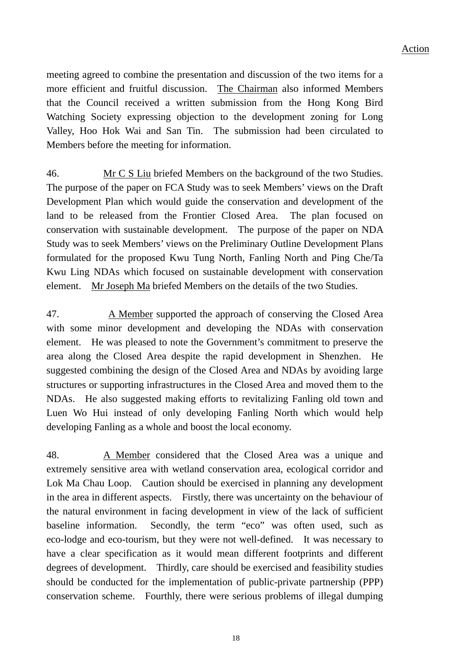meeting agreed to combine the presentation and discussion of the two items for a more efficient and fruitful discussion. The Chairman also informed Members that the Council received a written submission from the Hong Kong Bird Watching Society expressing objection to the development zoning for Long Valley, Hoo Hok Wai and San Tin. The submission had been circulated to Members before the meeting for information.

46. Mr C S Liu briefed Members on the background of the two Studies. The purpose of the paper on FCA Study was to seek Members' views on the Draft Development Plan which would guide the conservation and development of the land to be released from the Frontier Closed Area. The plan focused on conservation with sustainable development. The purpose of the paper on NDA Study was to seek Members' views on the Preliminary Outline Development Plans formulated for the proposed Kwu Tung North, Fanling North and Ping Che/Ta Kwu Ling NDAs which focused on sustainable development with conservation element. Mr Joseph Ma briefed Members on the details of the two Studies.

47. A Member supported the approach of conserving the Closed Area with some minor development and developing the NDAs with conservation element. He was pleased to note the Government's commitment to preserve the area along the Closed Area despite the rapid development in Shenzhen. He suggested combining the design of the Closed Area and NDAs by avoiding large structures or supporting infrastructures in the Closed Area and moved them to the NDAs. He also suggested making efforts to revitalizing Fanling old town and Luen Wo Hui instead of only developing Fanling North which would help developing Fanling as a whole and boost the local economy.

48. A Member considered that the Closed Area was a unique and extremely sensitive area with wetland conservation area, ecological corridor and Lok Ma Chau Loop. Caution should be exercised in planning any development in the area in different aspects. Firstly, there was uncertainty on the behaviour of the natural environment in facing development in view of the lack of sufficient baseline information. Secondly, the term "eco" was often used, such as eco-lodge and eco-tourism, but they were not well-defined. It was necessary to have a clear specification as it would mean different footprints and different degrees of development. Thirdly, care should be exercised and feasibility studies should be conducted for the implementation of public-private partnership (PPP) conservation scheme. Fourthly, there were serious problems of illegal dumping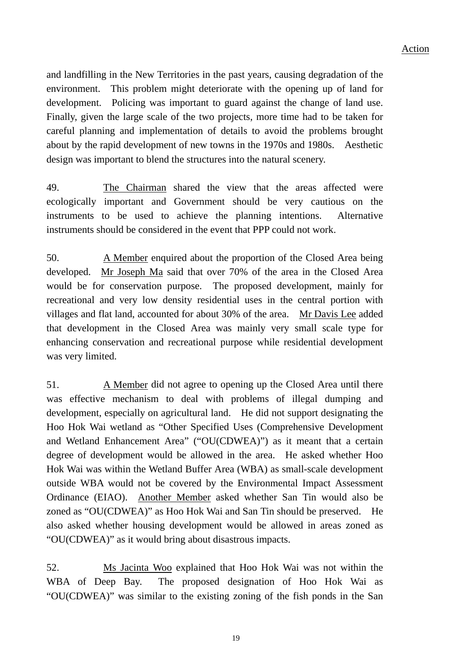and landfilling in the New Territories in the past years, causing degradation of the environment. This problem might deteriorate with the opening up of land for development. Policing was important to guard against the change of land use. Finally, given the large scale of the two projects, more time had to be taken for careful planning and implementation of details to avoid the problems brought about by the rapid development of new towns in the 1970s and 1980s. Aesthetic design was important to blend the structures into the natural scenery.

49. The Chairman shared the view that the areas affected were ecologically important and Government should be very cautious on the instruments to be used to achieve the planning intentions. Alternative instruments should be considered in the event that PPP could not work.

50. A Member enquired about the proportion of the Closed Area being developed. Mr Joseph Ma said that over 70% of the area in the Closed Area would be for conservation purpose. The proposed development, mainly for recreational and very low density residential uses in the central portion with villages and flat land, accounted for about 30% of the area. Mr Davis Lee added that development in the Closed Area was mainly very small scale type for enhancing conservation and recreational purpose while residential development was very limited.

51. A Member did not agree to opening up the Closed Area until there was effective mechanism to deal with problems of illegal dumping and development, especially on agricultural land. He did not support designating the Hoo Hok Wai wetland as "Other Specified Uses (Comprehensive Development and Wetland Enhancement Area" ("OU(CDWEA)") as it meant that a certain degree of development would be allowed in the area. He asked whether Hoo Hok Wai was within the Wetland Buffer Area (WBA) as small-scale development outside WBA would not be covered by the Environmental Impact Assessment Ordinance (EIAO). Another Member asked whether San Tin would also be zoned as "OU(CDWEA)" as Hoo Hok Wai and San Tin should be preserved. He also asked whether housing development would be allowed in areas zoned as "OU(CDWEA)" as it would bring about disastrous impacts.

52. Ms Jacinta Woo explained that Hoo Hok Wai was not within the WBA of Deep Bay. The proposed designation of Hoo Hok Wai as "OU(CDWEA)" was similar to the existing zoning of the fish ponds in the San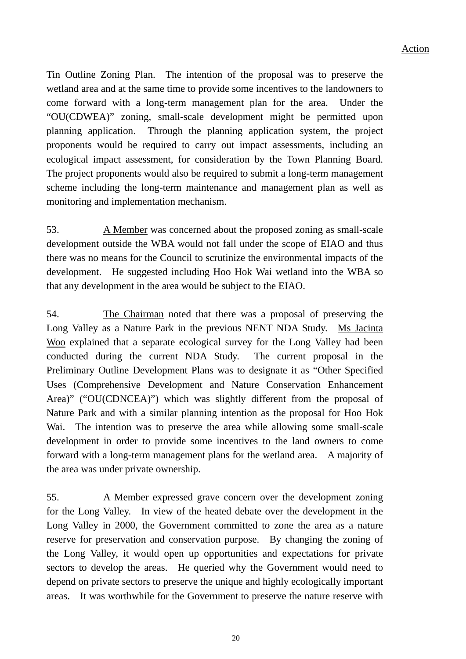Tin Outline Zoning Plan. The intention of the proposal was to preserve the wetland area and at the same time to provide some incentives to the landowners to come forward with a long-term management plan for the area. Under the "OU(CDWEA)" zoning, small-scale development might be permitted upon planning application. Through the planning application system, the project proponents would be required to carry out impact assessments, including an ecological impact assessment, for consideration by the Town Planning Board. The project proponents would also be required to submit a long-term management scheme including the long-term maintenance and management plan as well as monitoring and implementation mechanism.

53. A Member was concerned about the proposed zoning as small-scale development outside the WBA would not fall under the scope of EIAO and thus there was no means for the Council to scrutinize the environmental impacts of the development. He suggested including Hoo Hok Wai wetland into the WBA so that any development in the area would be subject to the EIAO.

54. The Chairman noted that there was a proposal of preserving the Long Valley as a Nature Park in the previous NENT NDA Study. Ms Jacinta Woo explained that a separate ecological survey for the Long Valley had been conducted during the current NDA Study. The current proposal in the Preliminary Outline Development Plans was to designate it as "Other Specified Uses (Comprehensive Development and Nature Conservation Enhancement Area)" ("OU(CDNCEA)") which was slightly different from the proposal of Nature Park and with a similar planning intention as the proposal for Hoo Hok Wai. The intention was to preserve the area while allowing some small-scale development in order to provide some incentives to the land owners to come forward with a long-term management plans for the wetland area. A majority of the area was under private ownership.

55. A Member expressed grave concern over the development zoning for the Long Valley. In view of the heated debate over the development in the Long Valley in 2000, the Government committed to zone the area as a nature reserve for preservation and conservation purpose. By changing the zoning of the Long Valley, it would open up opportunities and expectations for private sectors to develop the areas. He queried why the Government would need to depend on private sectors to preserve the unique and highly ecologically important areas. It was worthwhile for the Government to preserve the nature reserve with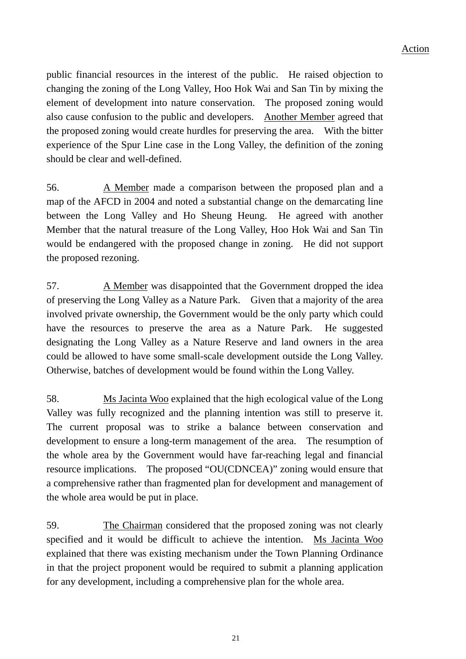public financial resources in the interest of the public. He raised objection to changing the zoning of the Long Valley, Hoo Hok Wai and San Tin by mixing the element of development into nature conservation. The proposed zoning would also cause confusion to the public and developers. Another Member agreed that the proposed zoning would create hurdles for preserving the area. With the bitter experience of the Spur Line case in the Long Valley, the definition of the zoning should be clear and well-defined.

56. A Member made a comparison between the proposed plan and a map of the AFCD in 2004 and noted a substantial change on the demarcating line between the Long Valley and Ho Sheung Heung. He agreed with another Member that the natural treasure of the Long Valley, Hoo Hok Wai and San Tin would be endangered with the proposed change in zoning. He did not support the proposed rezoning.

57. A Member was disappointed that the Government dropped the idea of preserving the Long Valley as a Nature Park. Given that a majority of the area involved private ownership, the Government would be the only party which could have the resources to preserve the area as a Nature Park. He suggested designating the Long Valley as a Nature Reserve and land owners in the area could be allowed to have some small-scale development outside the Long Valley. Otherwise, batches of development would be found within the Long Valley.

58. Ms Jacinta Woo explained that the high ecological value of the Long Valley was fully recognized and the planning intention was still to preserve it. The current proposal was to strike a balance between conservation and development to ensure a long-term management of the area. The resumption of the whole area by the Government would have far-reaching legal and financial resource implications. The proposed "OU(CDNCEA)" zoning would ensure that a comprehensive rather than fragmented plan for development and management of the whole area would be put in place.

59. The Chairman considered that the proposed zoning was not clearly specified and it would be difficult to achieve the intention. Ms Jacinta Woo explained that there was existing mechanism under the Town Planning Ordinance in that the project proponent would be required to submit a planning application for any development, including a comprehensive plan for the whole area.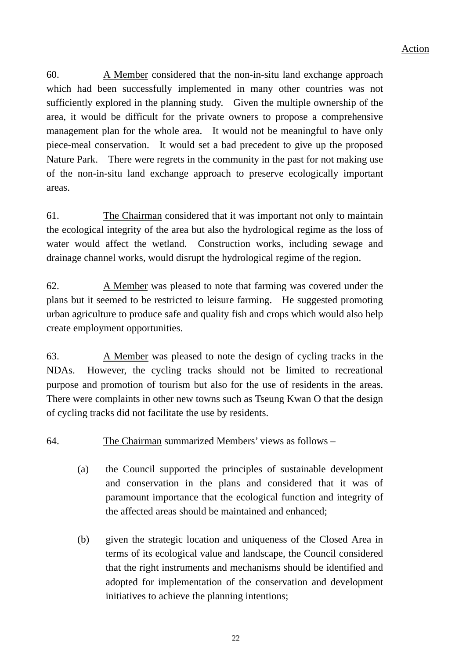60. A Member considered that the non-in-situ land exchange approach which had been successfully implemented in many other countries was not sufficiently explored in the planning study. Given the multiple ownership of the area, it would be difficult for the private owners to propose a comprehensive management plan for the whole area. It would not be meaningful to have only piece-meal conservation. It would set a bad precedent to give up the proposed Nature Park. There were regrets in the community in the past for not making use of the non-in-situ land exchange approach to preserve ecologically important areas.

61. The Chairman considered that it was important not only to maintain the ecological integrity of the area but also the hydrological regime as the loss of water would affect the wetland. Construction works, including sewage and drainage channel works, would disrupt the hydrological regime of the region.

62. A Member was pleased to note that farming was covered under the plans but it seemed to be restricted to leisure farming. He suggested promoting urban agriculture to produce safe and quality fish and crops which would also help create employment opportunities.

63. A Member was pleased to note the design of cycling tracks in the NDAs. However, the cycling tracks should not be limited to recreational purpose and promotion of tourism but also for the use of residents in the areas. There were complaints in other new towns such as Tseung Kwan O that the design of cycling tracks did not facilitate the use by residents.

64. The Chairman summarized Members' views as follows –

- (a) the Council supported the principles of sustainable development and conservation in the plans and considered that it was of paramount importance that the ecological function and integrity of the affected areas should be maintained and enhanced;
- (b) given the strategic location and uniqueness of the Closed Area in terms of its ecological value and landscape, the Council considered that the right instruments and mechanisms should be identified and adopted for implementation of the conservation and development initiatives to achieve the planning intentions;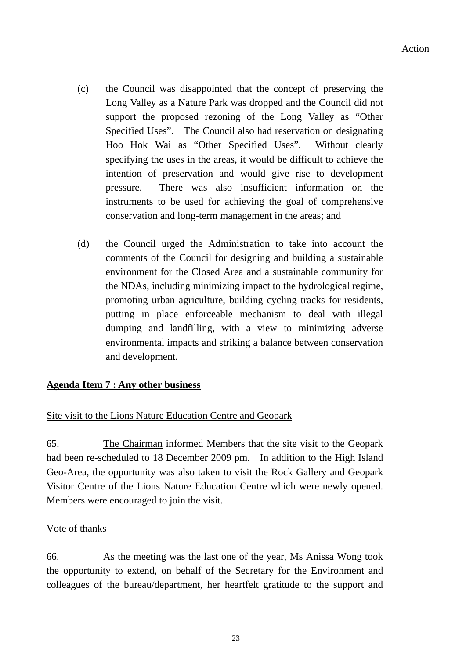- (c) the Council was disappointed that the concept of preserving the Long Valley as a Nature Park was dropped and the Council did not support the proposed rezoning of the Long Valley as "Other Specified Uses". The Council also had reservation on designating Hoo Hok Wai as "Other Specified Uses". Without clearly specifying the uses in the areas, it would be difficult to achieve the intention of preservation and would give rise to development pressure. There was also insufficient information on th e instruments to be used for achieving the goal of comprehensive conservation and long-term management in the areas; and
- (d) the Council urged the Administration to take into account the comments of the Council for designing and building a sustainable environment for the Closed Area and a sustainable community for the NDAs, including minimizing impact to the hydrological regime, promoting urban agriculture, building cycling tracks for residents, putting in place enforceable mechanism to deal with illegal dumping and landfilling, with a view to minimizing adverse environmental impacts and striking a balance between conservation and development.

## **Agenda Item 7 : Any other business**

#### Site visit to the Lions Nature Education Centre and Geopark

65. The Chairman informed Members that the site visit to the Geopark had been re-scheduled to 18 December 2009 pm. In addition to the High Island Geo-Area, the opportunity was also taken to visit the Rock Gallery and Geopark Visitor Centre of the Lions Nature Education Centre which were newly opened. Members were encouraged to join the visit.

#### Vote of thanks

66. As the meeting was the last one of the year, Ms Anissa Wong took the opportunity to extend, on behalf of the Secretary for the Environment and colleagues of the bureau/department, her heartfelt gratitude to the support and